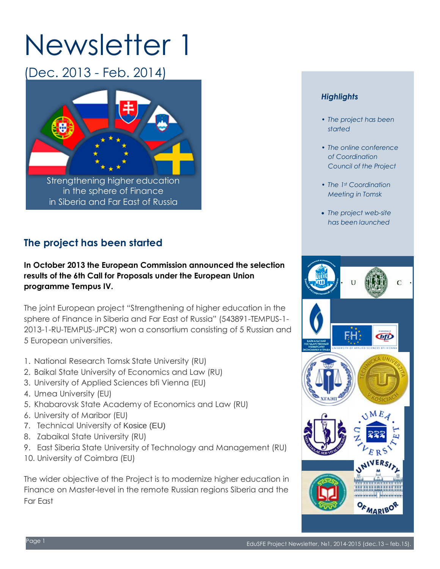# Newsletter 1

(Dec. 2013 - Feb. 2014)



# **The project has been started**

#### **In October 2013 the European Commission announced the selection results of the 6th Call for Proposals under the European Union programme Tempus IV.**

The joint European project "Strengthening of higher education in the sphere of Finance in Siberia and Far East of Russia" (543891-TEMPUS-1- 2013-1-RU-TEMPUS-JPCR) won a consortium consisting of 5 Russian and 5 European universities.

- 1. National Research Tomsk State University (RU)
- 2. Baikal State University of Economics and Law (RU)
- 3. University of Applied Sciences bfi Vienna (EU)
- 4. Umea University (EU)
- 5. Khabarovsk State Academy of Economics and Law (RU)
- 6. University of Maribor (EU)
- 7. Technical University of Kosice (EU)
- 8. Zabaikal State University (RU)
- 9. East Siberia State University of Technology and Management (RU)
- 10. University of Coimbra (EU)

The wider objective of the Project is to modernize higher education in Finance on Master-level in the remote Russian regions Siberia and the Far East

#### *Highlights*

- *• The project has been started*
- *• The online conference of Coordination Council of the Project*
- *• The 1st Coordination Meeting in Tomsk*
- *The project web-site has been launched*

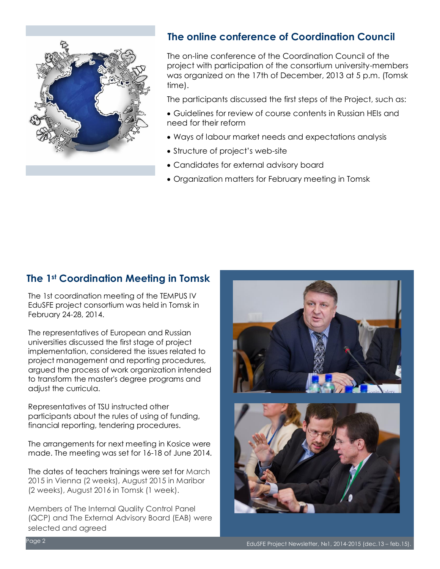

## **The online conference of Coordination Council**

The on-line conference of the Coordination Council of the project with participation of the consortium university-members was organized on the 17th of December, 2013 at 5 p.m. (Tomsk time).

The participants discussed the first steps of the Project, such as:

- Guidelines for review of course contents in Russian HEIs and need for their reform
- Ways of labour market needs and expectations analysis
- Structure of project's web-site
- Candidates for external advisory board
- Organization matters for February meeting in Tomsk

#### **The 1st Coordination Meeting in Tomsk**

The 1st coordination meeting of the TEMPUS IV EduSFE project consortium was held in Tomsk in February 24-28, 2014.

The representatives of European and Russian universities discussed the first stage of project implementation, considered the issues related to project management and reporting procedures, argued the process of work organization intended to transform the master's degree programs and adjust the curricula.

Representatives of TSU instructed other participants about the rules of using of funding, financial reporting, tendering procedures.

The arrangements for next meeting in Kosice were made. The meeting was set for 16-18 of June 2014.

The dates of teachers trainings were set for March 2015 in Vienna (2 weeks), August 2015 in Maribor (2 weeks), August 2016 in Tomsk (1 week).

Members of The Internal Quality Control Panel (QCP) and The External Advisory Board (EAB) were selected and agreed

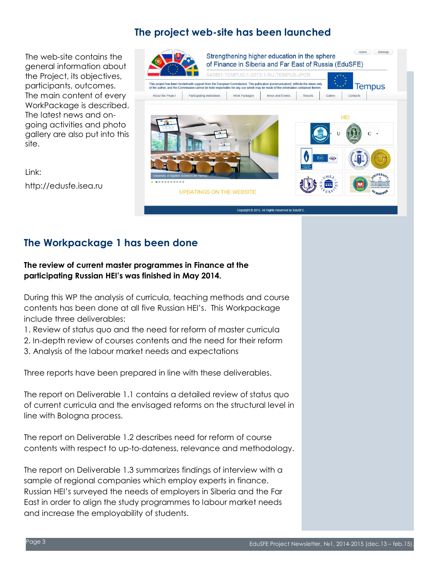# **The project web-site has been launched**

The web-site contains the general information about the Project, its objectives, participants, outcomes. The main content of every WorkPackage is described. The latest news and ongoing activities and photo gallery are also put into this site.

Link: http://edusfe.isea.ru



# **The Workpackage 1 has been done**

#### **The review of current master programmes in Finance at the participating Russian HEI's was finished in May 2014.**

During this WP the analysis of curricula, teaching methods and course contents has been done at all five Russian HEI's. This Workpackage include three deliverables:

1. Review of status quo and the need for reform of master curricula

2. In-depth review of courses contents and the need for their reform

3. Analysis of the labour market needs and expectations

Three reports have been prepared in line with these deliverables.

The report on Deliverable 1.1 contains a detailed review of status quo of current curricula and the envisaged reforms on the structural level in line with Bologna process.

The report on Deliverable 1.2 describes need for reform of course contents with respect to up-to-dateness, relevance and methodology.

The report on Deliverable 1.3 summarizes findings of interview with a sample of regional companies which employ experts in finance. Russian HEI's surveyed the needs of employers in Siberia and the Far East in order to align the study programmes to labour market needs and increase the employability of students.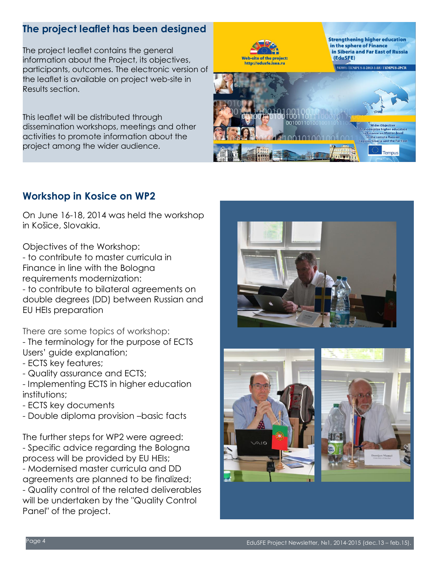# **The project leaflet has been designed**

The project leaflet contains the general information about the Project, its objectives, participants, outcomes. The electronic version of the leaflet is available on project web-site in Results section.

This leaflet will be distributed through dissemination workshops, meetings and other activities to promote information about the project among the wider audience.



## **Workshop in Kosice on WP2**

On June 16-18, 2014 was held the workshop in Košice, Slovakia.

Objectives of the Workshop:

- to contribute to master curricula in Finance in line with the Bologna requirements modernization:

- to contribute to bilateral agreements on double degrees (DD) between Russian and EU HEIs preparation

There are some topics of workshop: - The terminology for the purpose of ECTS Users' guide explanation;

- ECTS key features;
- Quality assurance and ECTS;
- Implementing ECTS in higher education institutions;
- ECTS key documents
- Double diploma provision –basic facts

The further steps for WP2 were agreed: - Specific advice regarding the Bologna process will be provided by EU HEIs;

- Modernised master curricula and DD agreements are planned to be finalized;

- Quality control of the related deliverables will be undertaken by the "Quality Control Panel" of the project.